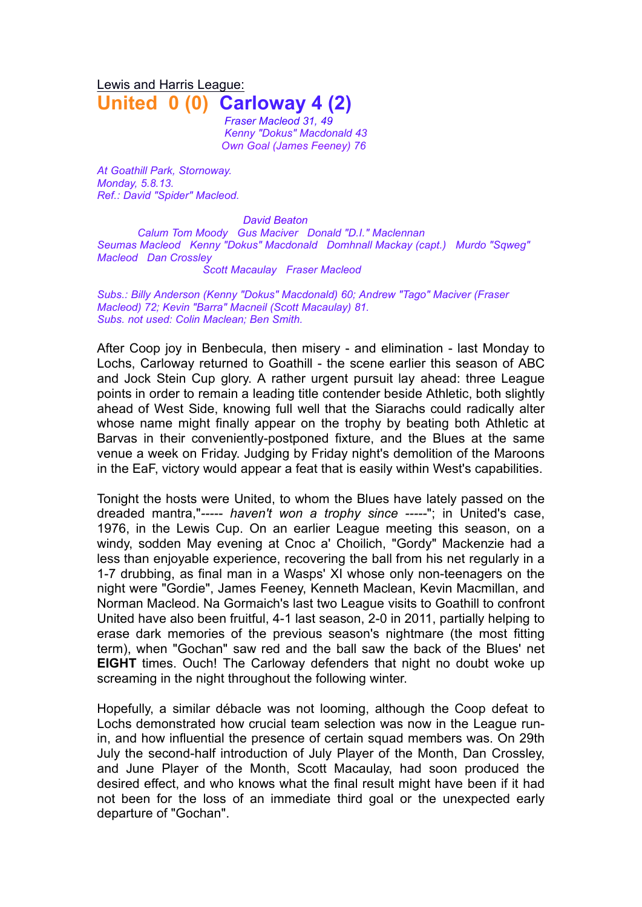## Lewis and Harris League: **United 0 (0) Carloway 4 (2)**

*Fraser Macleod 31, 49 Kenny "Dokus" Macdonald 43 Own Goal (James Feeney) 76*

*At Goathill Park, Stornoway. Monday, 5.8.13. Ref.: David "Spider" Macleod.*

## *David Beaton*

*Calum Tom Moody Gus Maciver Donald "D.I." Maclennan Seumas Macleod Kenny "Dokus" Macdonald Domhnall Mackay (capt.) Murdo "Sqweg" Macleod Dan Crossley*

*Scott Macaulay Fraser Macleod*

*Subs.: Billy Anderson (Kenny "Dokus" Macdonald) 60; Andrew "Tago" Maciver (Fraser Macleod) 72; Kevin "Barra" Macneil (Scott Macaulay) 81. Subs. not used: Colin Maclean; Ben Smith.*

After Coop joy in Benbecula, then misery - and elimination - last Monday to Lochs, Carloway returned to Goathill - the scene earlier this season of ABC and Jock Stein Cup glory. A rather urgent pursuit lay ahead: three League points in order to remain a leading title contender beside Athletic, both slightly ahead of West Side, knowing full well that the Siarachs could radically alter whose name might finally appear on the trophy by beating both Athletic at Barvas in their conveniently-postponed fixture, and the Blues at the same venue a week on Friday. Judging by Friday night's demolition of the Maroons in the EaF, victory would appear a feat that is easily within West's capabilities.

Tonight the hosts were United, to whom the Blues have lately passed on the dreaded mantra,"*----- haven't won a trophy since -----*"; in United's case, 1976, in the Lewis Cup. On an earlier League meeting this season, on a windy, sodden May evening at Cnoc a' Choilich, "Gordy" Mackenzie had a less than enjoyable experience, recovering the ball from his net regularly in a 1-7 drubbing, as final man in a Wasps' XI whose only non-teenagers on the night were "Gordie", James Feeney, Kenneth Maclean, Kevin Macmillan, and Norman Macleod. Na Gormaich's last two League visits to Goathill to confront United have also been fruitful, 4-1 last season, 2-0 in 2011, partially helping to erase dark memories of the previous season's nightmare (the most fitting term), when "Gochan" saw red and the ball saw the back of the Blues' net **EIGHT** times. Ouch! The Carloway defenders that night no doubt woke up screaming in the night throughout the following winter.

Hopefully, a similar débacle was not looming, although the Coop defeat to Lochs demonstrated how crucial team selection was now in the League runin, and how influential the presence of certain squad members was. On 29th July the second-half introduction of July Player of the Month, Dan Crossley, and June Player of the Month, Scott Macaulay, had soon produced the desired effect, and who knows what the final result might have been if it had not been for the loss of an immediate third goal or the unexpected early departure of "Gochan".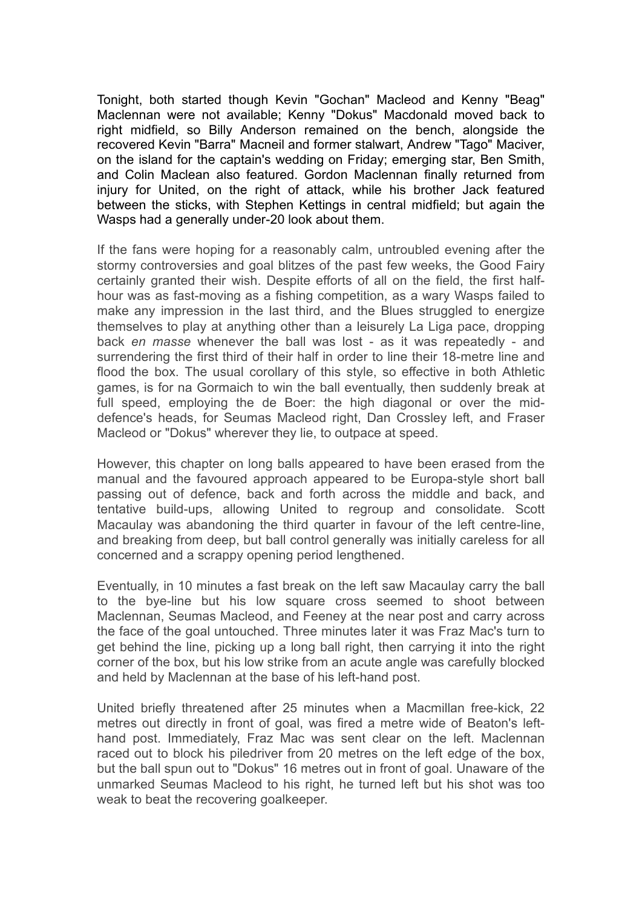Tonight, both started though Kevin "Gochan" Macleod and Kenny "Beag" Maclennan were not available; Kenny "Dokus" Macdonald moved back to right midfield, so Billy Anderson remained on the bench, alongside the recovered Kevin "Barra" Macneil and former stalwart, Andrew "Tago" Maciver, on the island for the captain's wedding on Friday; emerging star, Ben Smith, and Colin Maclean also featured. Gordon Maclennan finally returned from injury for United, on the right of attack, while his brother Jack featured between the sticks, with Stephen Kettings in central midfield; but again the Wasps had a generally under-20 look about them.

If the fans were hoping for a reasonably calm, untroubled evening after the stormy controversies and goal blitzes of the past few weeks, the Good Fairy certainly granted their wish. Despite efforts of all on the field, the first halfhour was as fast-moving as a fishing competition, as a wary Wasps failed to make any impression in the last third, and the Blues struggled to energize themselves to play at anything other than a leisurely La Liga pace, dropping back *en masse* whenever the ball was lost - as it was repeatedly - and surrendering the first third of their half in order to line their 18-metre line and flood the box. The usual corollary of this style, so effective in both Athletic games, is for na Gormaich to win the ball eventually, then suddenly break at full speed, employing the de Boer: the high diagonal or over the middefence's heads, for Seumas Macleod right, Dan Crossley left, and Fraser Macleod or "Dokus" wherever they lie, to outpace at speed.

However, this chapter on long balls appeared to have been erased from the manual and the favoured approach appeared to be Europa-style short ball passing out of defence, back and forth across the middle and back, and tentative build-ups, allowing United to regroup and consolidate. Scott Macaulay was abandoning the third quarter in favour of the left centre-line, and breaking from deep, but ball control generally was initially careless for all concerned and a scrappy opening period lengthened.

Eventually, in 10 minutes a fast break on the left saw Macaulay carry the ball to the bye-line but his low square cross seemed to shoot between Maclennan, Seumas Macleod, and Feeney at the near post and carry across the face of the goal untouched. Three minutes later it was Fraz Mac's turn to get behind the line, picking up a long ball right, then carrying it into the right corner of the box, but his low strike from an acute angle was carefully blocked and held by Maclennan at the base of his left-hand post.

United briefly threatened after 25 minutes when a Macmillan free-kick, 22 metres out directly in front of goal, was fired a metre wide of Beaton's lefthand post. Immediately, Fraz Mac was sent clear on the left. Maclennan raced out to block his piledriver from 20 metres on the left edge of the box, but the ball spun out to "Dokus" 16 metres out in front of goal. Unaware of the unmarked Seumas Macleod to his right, he turned left but his shot was too weak to beat the recovering goalkeeper.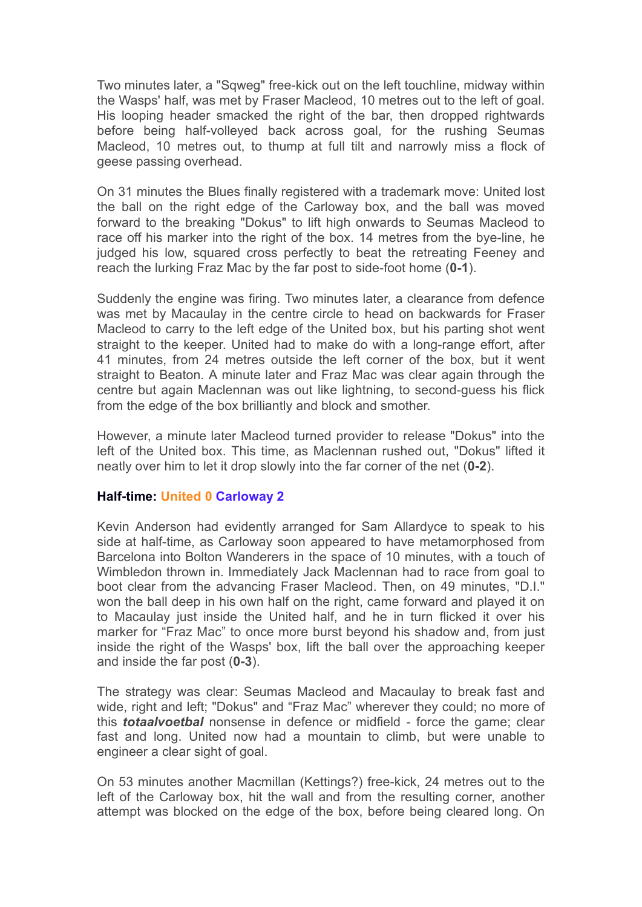Two minutes later, a "Sqweg" free-kick out on the left touchline, midway within the Wasps' half, was met by Fraser Macleod, 10 metres out to the left of goal. His looping header smacked the right of the bar, then dropped rightwards before being half-volleyed back across goal, for the rushing Seumas Macleod, 10 metres out, to thump at full tilt and narrowly miss a flock of geese passing overhead.

On 31 minutes the Blues finally registered with a trademark move: United lost the ball on the right edge of the Carloway box, and the ball was moved forward to the breaking "Dokus" to lift high onwards to Seumas Macleod to race off his marker into the right of the box. 14 metres from the bye-line, he judged his low, squared cross perfectly to beat the retreating Feeney and reach the lurking Fraz Mac by the far post to side-foot home (**0-1**).

Suddenly the engine was firing. Two minutes later, a clearance from defence was met by Macaulay in the centre circle to head on backwards for Fraser Macleod to carry to the left edge of the United box, but his parting shot went straight to the keeper. United had to make do with a long-range effort, after 41 minutes, from 24 metres outside the left corner of the box, but it went straight to Beaton. A minute later and Fraz Mac was clear again through the centre but again Maclennan was out like lightning, to second-guess his flick from the edge of the box brilliantly and block and smother.

However, a minute later Macleod turned provider to release "Dokus" into the left of the United box. This time, as Maclennan rushed out, "Dokus" lifted it neatly over him to let it drop slowly into the far corner of the net (**0-2**).

## **Half-time: United 0 Carloway 2**

Kevin Anderson had evidently arranged for Sam Allardyce to speak to his side at half-time, as Carloway soon appeared to have metamorphosed from Barcelona into Bolton Wanderers in the space of 10 minutes, with a touch of Wimbledon thrown in. Immediately Jack Maclennan had to race from goal to boot clear from the advancing Fraser Macleod. Then, on 49 minutes, "D.I." won the ball deep in his own half on the right, came forward and played it on to Macaulay just inside the United half, and he in turn flicked it over his marker for "Fraz Mac" to once more burst beyond his shadow and, from just inside the right of the Wasps' box, lift the ball over the approaching keeper and inside the far post (**0-3**).

The strategy was clear: Seumas Macleod and Macaulay to break fast and wide, right and left; "Dokus" and "Fraz Mac" wherever they could; no more of this *totaalvoetbal* nonsense in defence or midfield - force the game; clear fast and long. United now had a mountain to climb, but were unable to engineer a clear sight of goal.

On 53 minutes another Macmillan (Kettings?) free-kick, 24 metres out to the left of the Carloway box, hit the wall and from the resulting corner, another attempt was blocked on the edge of the box, before being cleared long. On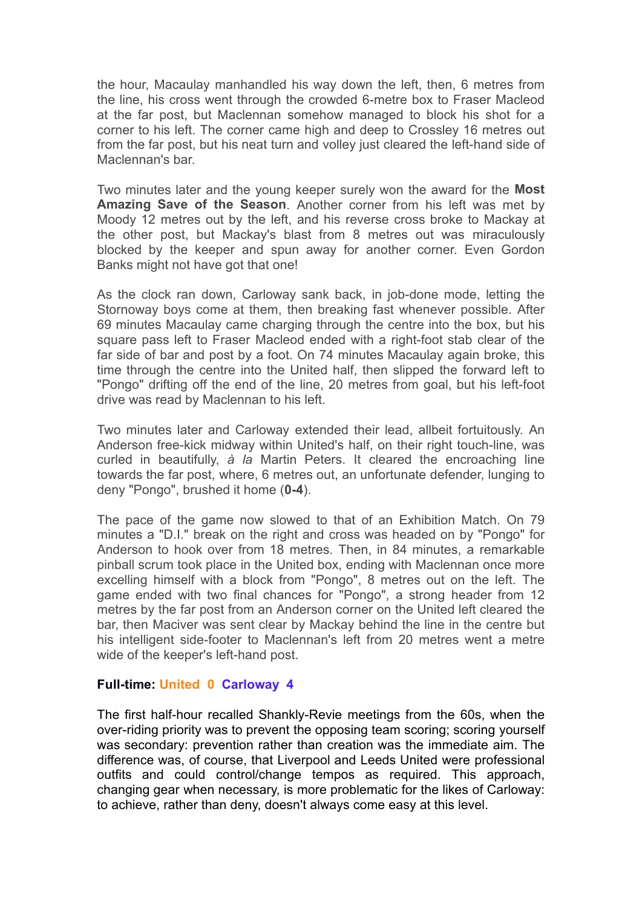the hour, Macaulay manhandled his way down the left, then, 6 metres from the line, his cross went through the crowded 6-metre box to Fraser Macleod at the far post, but Maclennan somehow managed to block his shot for a corner to his left. The corner came high and deep to Crossley 16 metres out from the far post, but his neat turn and volley just cleared the left-hand side of Maclennan's bar.

Two minutes later and the young keeper surely won the award for the **Most Amazing Save of the Season**. Another corner from his left was met by Moody 12 metres out by the left, and his reverse cross broke to Mackay at the other post, but Mackay's blast from 8 metres out was miraculously blocked by the keeper and spun away for another corner. Even Gordon Banks might not have got that one!

As the clock ran down, Carloway sank back, in job-done mode, letting the Stornoway boys come at them, then breaking fast whenever possible. After 69 minutes Macaulay came charging through the centre into the box, but his square pass left to Fraser Macleod ended with a right-foot stab clear of the far side of bar and post by a foot. On 74 minutes Macaulay again broke, this time through the centre into the United half, then slipped the forward left to "Pongo" drifting off the end of the line, 20 metres from goal, but his left-foot drive was read by Maclennan to his left.

Two minutes later and Carloway extended their lead, allbeit fortuitously. An Anderson free-kick midway within United's half, on their right touch-line, was curled in beautifully, *à la* Martin Peters. It cleared the encroaching line towards the far post, where, 6 metres out, an unfortunate defender, lunging to deny "Pongo", brushed it home (**0-4**).

The pace of the game now slowed to that of an Exhibition Match. On 79 minutes a "D.I." break on the right and cross was headed on by "Pongo" for Anderson to hook over from 18 metres. Then, in 84 minutes, a remarkable pinball scrum took place in the United box, ending with Maclennan once more excelling himself with a block from "Pongo", 8 metres out on the left. The game ended with two final chances for "Pongo", a strong header from 12 metres by the far post from an Anderson corner on the United left cleared the bar, then Maciver was sent clear by Mackay behind the line in the centre but his intelligent side-footer to Maclennan's left from 20 metres went a metre wide of the keeper's left-hand post.

## **Full-time: United 0 Carloway 4**

The first half-hour recalled Shankly-Revie meetings from the 60s, when the over-riding priority was to prevent the opposing team scoring; scoring yourself was secondary: prevention rather than creation was the immediate aim. The difference was, of course, that Liverpool and Leeds United were professional outfits and could control/change tempos as required. This approach, changing gear when necessary, is more problematic for the likes of Carloway: to achieve, rather than deny, doesn't always come easy at this level.